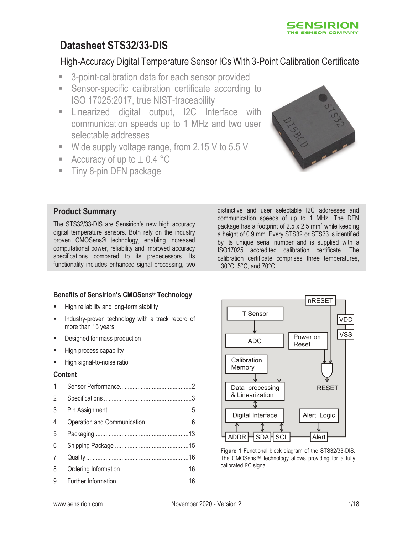

# **Datasheet STS32/33-DIS**

## High-Accuracy Digital Temperature Sensor ICs With 3-Point Calibration Certificate

- 3-point-calibration data for each sensor provided
- Sensor-specific calibration certificate according to ISO 17025:2017, true NIST-traceability
- **Example 1** Linearized digital output, I2C Interface with communication speeds up to 1 MHz and two user selectable addresses
- Wide supply voltage range, from 2.15 V to 5.5 V
- Accuracy of up to  $\pm$  0.4 °C
- Tiny 8-pin DFN package



### **Product Summary**

The STS32/33-DIS are Sensirion's new high accuracy digital temperature sensors. Both rely on the industry proven CMOSens® technology, enabling increased computational power, reliability and improved accuracy specifications compared to its predecessors. Its functionality includes enhanced signal processing, two distinctive and user selectable I2C addresses and communication speeds of up to 1 MHz. The DFN package has a footprint of 2.5 x 2.5 mm2 while keeping a height of 0.9 mm. Every STS32 or STS33 is identified by its unique serial number and is supplied with a ISO17025 accredited calibration certificate. The calibration certificate comprises three temperatures, −30°C, 5°C, and 70°C.

### **Benefits of Sensirion's CMOSens® Technology**

- High reliability and long-term stability
- Industry-proven technology with a track record of more than 15 years
- Designed for mass production
- High process capability
- High signal-to-noise ratio

#### **Content**

| $\mathbf{1}$  |  |
|---------------|--|
| $\mathcal{P}$ |  |
| 3             |  |
| 4             |  |
| 5             |  |
| 6             |  |
| 7             |  |
| 8             |  |
| 9             |  |
|               |  |



**Figure 1** Functional block diagram of the STS32/33-DIS. The CMOSens™ technology allows providing for a fully calibrated I<sup>2</sup>C signal.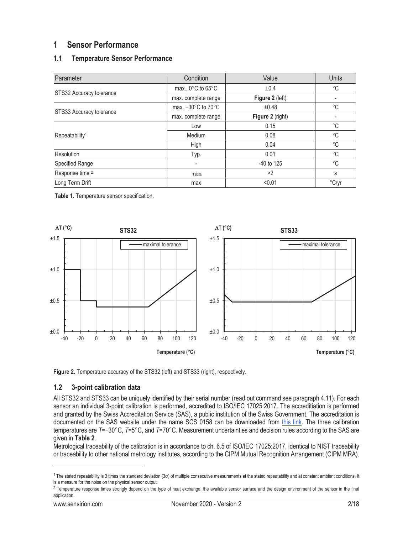### **1 Sensor Performance**

### **1.1 Temperature Sensor Performance**

| Parameter                  | Condition                              | Value            | <b>Units</b> |
|----------------------------|----------------------------------------|------------------|--------------|
| STS32 Accuracy tolerance   | max., $0^{\circ}$ C to $65^{\circ}$ C  | ±0.4             | °C           |
|                            | max. complete range                    | Figure 2 (left)  |              |
|                            | max. $-30^{\circ}$ C to $70^{\circ}$ C | ±0.48            | °C           |
| STS33 Accuracy tolerance   | max. complete range                    | Figure 2 (right) |              |
|                            | Low                                    | 0.15             | °C           |
| Repeatability <sup>1</sup> | Medium                                 | 0.08             | $^{\circ}C$  |
|                            | High                                   | 0.04             | $^{\circ}$ C |
| Resolution                 | Typ.                                   | 0.01             | $^{\circ}$ C |
| Specified Range            |                                        | -40 to 125       | $^{\circ}$ C |
| Response time <sup>2</sup> | T63%                                   | >2               | s            |
| Long Term Drift            | max                                    | < 0.01           | °C/yr        |

**Table 1.** Temperature sensor specification.





#### **1.2 3-point calibration data**

All STS32 and STS33 can be uniquely identified by their serial number (read out command see paragraph 4.11). For each sensor an individual 3-point calibration is performed, accredited to ISO/IEC 17025:2017. The accreditiation is performed and granted by the Swiss Accreditation Service (SAS), a public institution of the Swiss Government. The accreditation is documented on the SAS website under the name SCS 0158 can be downloaded from this link. The three calibration temperatures are *T*=−30°C, *T*=5°C, and *T*=70°C. Measurement uncertainties and decision rules according to the SAS are given in **Table 2**.

Metrological traceability of the calibration is in accordance to ch. 6.5 of ISO/IEC 17025:2017, identical to NIST traceability or traceability to other national metrology institutes, according to the CIPM Mutual Recognition Arrangement (CIPM MRA).

<sup>&</sup>lt;sup>1</sup> The stated repeatability is 3 times the standard deviation (3σ) of multiple consecutive measurements at the stated repeatability and at constant ambient conditions. It is a measure for the noise on the physical sensor output.

<sup>&</sup>lt;sup>2</sup> Temperature response times strongly depend on the type of heat exchange, the available sensor surface and the design environment of the sensor in the final application.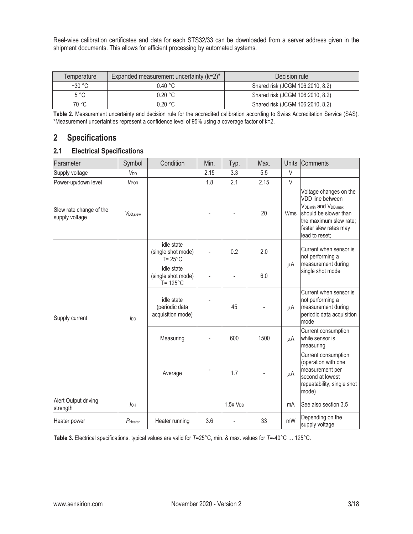Reel-wise calibration certificates and data for each STS32/33 can be downloaded from a server address given in the shipment documents. This allows for efficient processing by automated systems.

| Expanded measurement uncertainty $(k=2)^*$<br>Temperature |                   | Decision rule                    |  |  |
|-----------------------------------------------------------|-------------------|----------------------------------|--|--|
| $-30 °C$                                                  | $0.40\degree$ C   | Shared risk (JCGM 106:2010, 8.2) |  |  |
| $5^{\circ}$ C                                             | $0.20 \text{ °C}$ | Shared risk (JCGM 106:2010, 8.2) |  |  |
| 70 °C                                                     | 0.20 °C           | Shared risk (JCGM 106:2010, 8.2) |  |  |

**Table 2.** Measurement uncertainty and decision rule for the accredited calibration according to Swiss Accreditation Service (SAS). \*Measurement uncertainties represent a confidence level of 95% using a coverage factor of k=2.

### **2 Specifications**

### **2.1 Electrical Specifications**

| Parameter                                 | Symbol                                                           | Condition                                               | Min. | Typ.                | Max. | Units  | Comments                                                                                                                                                                                   |
|-------------------------------------------|------------------------------------------------------------------|---------------------------------------------------------|------|---------------------|------|--------|--------------------------------------------------------------------------------------------------------------------------------------------------------------------------------------------|
| Supply voltage                            | <b>V<sub>DD</sub></b>                                            |                                                         | 2.15 | 3.3                 | 5.5  | V      |                                                                                                                                                                                            |
| Power-up/down level                       | VPOR                                                             |                                                         | 1.8  | 2.1                 | 2.15 | $\vee$ |                                                                                                                                                                                            |
| Slew rate change of the<br>supply voltage | V <sub>DD</sub> , slew                                           |                                                         |      |                     | 20   | V/ms   | Voltage changes on the<br>VDD line between<br>V <sub>DD, min</sub> and V <sub>DD</sub> , max<br>should be slower than<br>the maximum slew rate;<br>faster slew rates may<br>lead to reset; |
|                                           |                                                                  | idle state<br>(single shot mode)<br>$T = 25^{\circ}C$   |      | 0.2                 | 2.0  |        | Current when sensor is<br>not performing a                                                                                                                                                 |
|                                           |                                                                  | idle state<br>(single shot mode)<br>$T = 125^{\circ}$ C |      |                     | 6.0  | μA     | measurement during<br>single shot mode                                                                                                                                                     |
| Supply current                            | idle state<br>(periodic data<br>$I_{DD}$<br>Measuring<br>Average | acquisition mode)                                       |      | 45                  |      | μA     | Current when sensor is<br>not performing a<br>measurement during<br>periodic data acquisition<br>mode                                                                                      |
|                                           |                                                                  |                                                         |      | 600                 | 1500 | μA     | Current consumption<br>while sensor is<br>measuring                                                                                                                                        |
|                                           |                                                                  |                                                         |      | 1.7                 |      | μA     | Current consumption<br>(operation with one<br>measurement per<br>second at lowest<br>repeatability, single shot<br>mode)                                                                   |
| Alert Output driving<br>strength          | $I_{OH}$                                                         |                                                         |      | 1.5xV <sub>DD</sub> |      | mA     | See also section 3.5                                                                                                                                                                       |
| Heater power                              | $P_{\text{Heater}}$                                              | Heater running                                          | 3.6  |                     | 33   | mW     | Depending on the<br>supply voltage                                                                                                                                                         |

**Table 3.** Electrical specifications, typical values are valid for *T*=25°C, min. & max. values for *T*=-40°C … 125°C.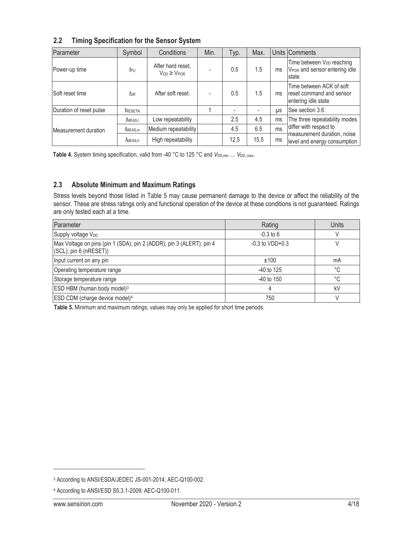| 2.2 |  |  |  | <b>Timing Specification for the Sensor System</b> |
|-----|--|--|--|---------------------------------------------------|
|-----|--|--|--|---------------------------------------------------|

| Parameter               | Symbol                | Conditions                                 | Min. | Typ. | Max. |           | Units Comments                                                                              |
|-------------------------|-----------------------|--------------------------------------------|------|------|------|-----------|---------------------------------------------------------------------------------------------|
| Power-up time           | teu                   | After hard reset,<br>$V_{DD} \geq V_{POR}$ |      | 0.5  | 1.5  | ms        | Time between V <sub>DD</sub> reaching<br>V <sub>POR</sub> and sensor entering idle<br>state |
| Soft reset time         | tsr                   | After soft reset.                          |      | 0.5  | 1.5  | ms        | Time between ACK of soft<br>reset command and sensor<br>entering idle state                 |
| Duration of reset pulse | <i><b>TRESETN</b></i> |                                            |      |      |      | <b>US</b> | See section 3.6                                                                             |
|                         | $t_{\text{MEAS,I}}$   | Low repeatability                          |      | 2.5  | 4.5  | ms        | The three repeatability modes                                                               |
| Measurement duration    | $t_{\text{MEAS,m}}$   | Medium repeatability                       |      | 4.5  | 6.5  | ms        | differ with respect to                                                                      |
|                         | <i>I</i> MEAS.h       | High repeatability                         |      | 12.5 | 15.5 | ms        | measurement duration, noise<br>level and energy consumption                                 |

Table 4. System timing specification, valid from -40 °C to 125 °C and *V*<sub>DD, min</sub> ... *V*<sub>DD, max</sub>.

#### **2.3 Absolute Minimum and Maximum Ratings**

Stress levels beyond those listed in Table 5 may cause permanent damage to the device or affect the reliability of the sensor. These are stress ratings only and functional operation of the device at these conditions is not guaranteed. Ratings are only tested each at a time.

| Parameter                                                                                      | Rating              | <b>Units</b> |
|------------------------------------------------------------------------------------------------|---------------------|--------------|
| Supply voltage V <sub>DD</sub>                                                                 | $-0.3$ to 6         |              |
| Max Voltage on pins (pin 1 (SDA); pin 2 (ADDR); pin 3 (ALERT); pin 4<br>(SCL); pin 6 (nRESET)) | $-0.3$ to $VDD+0.3$ |              |
| Input current on any pin                                                                       | ±100                | mA           |
| Operating temperature range                                                                    | $-40$ to 125        | °C           |
| Storage temperature range                                                                      | $-40$ to $150$      | °C.          |
| ESD HBM (human body model) <sup>3</sup>                                                        |                     | kV           |
| ESD CDM (charge device model) <sup>4</sup>                                                     | 750                 |              |

**Table 5.** Minimum and maximum ratings; values may only be applied for short time periods.

<sup>3</sup> According to ANSI/ESDA/JEDEC JS-001-2014; AEC-Q100-002.

<sup>4</sup> According to ANSI/ESD S5.3.1-2009; AEC-Q100-011.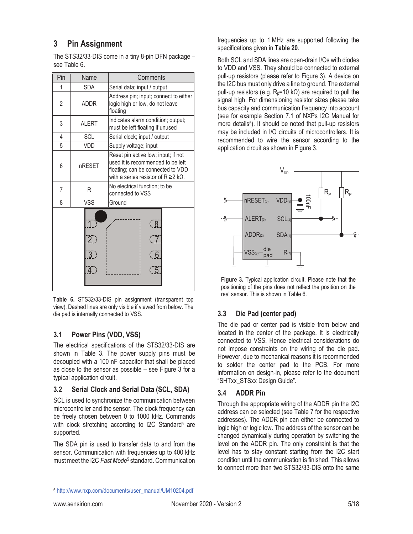## **3 Pin Assignment**

The STS32/33-DIS come in a tiny 8-pin DFN package – see Table 6**.**

| Pin                                                                                                | Name         | Comments                                                                                                                                                          |  |  |  |
|----------------------------------------------------------------------------------------------------|--------------|-------------------------------------------------------------------------------------------------------------------------------------------------------------------|--|--|--|
| 1                                                                                                  | SDA          | Serial data; input / output                                                                                                                                       |  |  |  |
| $\overline{2}$                                                                                     | <b>ADDR</b>  | Address pin; input; connect to either<br>logic high or low, do not leave<br>floating                                                                              |  |  |  |
| 3                                                                                                  | <b>ALERT</b> | Indicates alarm condition; output;<br>must be left floating if unused                                                                                             |  |  |  |
| 4                                                                                                  | SCL          | Serial clock; input / output                                                                                                                                      |  |  |  |
| 5                                                                                                  | VDD          | Supply voltage; input                                                                                                                                             |  |  |  |
| 6                                                                                                  | nRESET       | Reset pin active low; input; if not<br>used it is recommended to be left<br>floating; can be connected to VDD<br>with a series resistor of $R \ge 2$ k $\Omega$ . |  |  |  |
| 7                                                                                                  | R            | No electrical function; to be<br>connected to VSS                                                                                                                 |  |  |  |
| 8                                                                                                  | <b>VSS</b>   | Ground                                                                                                                                                            |  |  |  |
| ( 8 )<br>$\overline{7}$<br>$\overline{2}$<br>$\sqrt{6}$<br>$\overline{3}$ )<br>$\overline{4}$<br>5 |              |                                                                                                                                                                   |  |  |  |

**Table 6.** STS32/33-DIS pin assignment (transparent top view). Dashed lines are only visible if viewed from below. The die pad is internally connected to VSS.

#### **3.1 Power Pins (VDD, VSS)**

The electrical specifications of the STS32/33-DIS are shown in Table 3. The power supply pins must be decoupled with a 100 nF capacitor that shall be placed as close to the sensor as possible – see Figure 3 for a typical application circuit.

#### **3.2 Serial Clock and Serial Data (SCL, SDA)**

SCL is used to synchronize the communication between microcontroller and the sensor. The clock frequency can be freely chosen between 0 to 1000 kHz. Commands with clock stretching according to I2C Standard<sup>5</sup> are supported.

The SDA pin is used to transfer data to and from the sensor. Communication with frequencies up to 400 kHz must meet the I2C *Fast Mode*5 standard. Communication

frequencies up to 1 MHz are supported following the specifications given in **Table 20**.

Both SCL and SDA lines are open-drain I/Os with diodes to VDD and VSS. They should be connected to external pull-up resistors (please refer to Figure 3). A device on the I2C bus must only drive a line to ground. The external pull-up resistors (e.g.  $R_p = 10$  kΩ) are required to pull the signal high. For dimensioning resistor sizes please take bus capacity and communication frequency into account (see for example Section 7.1 of NXPs I2C Manual for more details<sup>5</sup>). It should be noted that pull-up resistors may be included in I/O circuits of microcontrollers. It is recommended to wire the sensor according to the application circuit as shown in Figure 3.



**Figure 3.** Typical application circuit. Please note that the positioning of the pins does not reflect the position on the real sensor. This is shown in Table 6.

#### **3.3 Die Pad (center pad)**

The die pad or center pad is visible from below and located in the center of the package. It is electrically connected to VSS. Hence electrical considerations do not impose constraints on the wiring of the die pad. However, due to mechanical reasons it is recommended to solder the center pad to the PCB. For more information on design-in, please refer to the document "SHTxx\_STSxx Design Guide".

#### **3.4 ADDR Pin**

Through the appropriate wiring of the ADDR pin the I2C address can be selected (see Table 7 for the respective addresses). The ADDR pin can either be connected to logic high or logic low. The address of the sensor can be changed dynamically during operation by switching the level on the ADDR pin. The only constraint is that the level has to stay constant starting from the I2C start condition until the communication is finished. This allows to connect more than two STS32/33-DIS onto the same

<sup>5</sup> http://www.nxp.com/documents/user\_manual/UM10204.pdf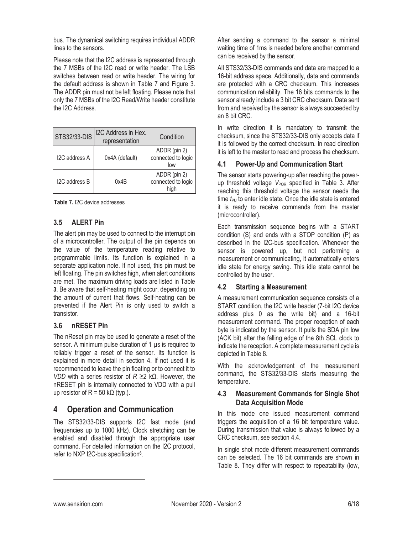bus. The dynamical switching requires individual ADDR lines to the sensors.

Please note that the I2C address is represented through the 7 MSBs of the I2C read or write header. The LSB switches between read or write header. The wiring for the default address is shown in Table 7 and Figure 3. The ADDR pin must not be left floating. Please note that only the 7 MSBs of the I2C Read/Write header constitute the I2C Address.

| <b>STS32/33-DIS</b> | I2C Address in Hex.<br>representation | Condition                                  |
|---------------------|---------------------------------------|--------------------------------------------|
| I2C address A       | 0x4A (default)                        | ADDR (pin 2)<br>connected to logic<br>low  |
| I2C address B       | 0x4B                                  | ADDR (pin 2)<br>connected to logic<br>hiah |

**Table 7.** I2C device addresses

### **3.5 ALERT Pin**

The alert pin may be used to connect to the interrupt pin of a microcontroller. The output of the pin depends on the value of the temperature reading relative to programmable limits. Its function is explained in a separate application note. If not used, this pin must be left floating. The pin switches high, when alert conditions are met. The maximum driving loads are listed in Table **3**. Be aware that self-heating might occur, depending on the amount of current that flows. Self-heating can be prevented if the Alert Pin is only used to switch a transistor.

#### **3.6 nRESET Pin**

The nReset pin may be used to generate a reset of the sensor. A minimum pulse duration of 1 μs is required to reliably trigger a reset of the sensor. Its function is explained in more detail in section 4. If not used it is recommended to leave the pin floating or to connect it to *VDD* with a series resistor of *R* ≥2 kΩ. However, the nRESET pin is internally connected to VDD with a pull up resistor of R = 50 kΩ (typ.).

### **4 Operation and Communication**

The STS32/33-DIS supports I2C fast mode (and frequencies up to 1000 kHz). Clock stretching can be enabled and disabled through the appropriate user command. For detailed information on the I2C protocol, refer to NXP I2C-bus specification6.

After sending a command to the sensor a minimal waiting time of 1ms is needed before another command can be received by the sensor.

All STS32/33-DIS commands and data are mapped to a 16-bit address space. Additionally, data and commands are protected with a CRC checksum. This increases communication reliability. The 16 bits commands to the sensor already include a 3 bit CRC checksum. Data sent from and received by the sensor is always succeeded by an 8 bit CRC.

In write direction it is mandatory to transmit the checksum, since the STS32/33-DIS only accepts data if it is followed by the correct checksum. In read direction it is left to the master to read and process the checksum.

#### **4.1 Power-Up and Communication Start**

The sensor starts powering-up after reaching the powerup threshold voltage V<sub>POR</sub> specified in Table 3. After reaching this threshold voltage the sensor needs the time *t*<sub>PU</sub> to enter idle state. Once the idle state is entered it is ready to receive commands from the master (microcontroller).

Each transmission sequence begins with a START condition (S) and ends with a STOP condition (P) as described in the I2C-bus specification. Whenever the sensor is powered up, but not performing a measurement or communicating, it automatically enters idle state for energy saving. This idle state cannot be controlled by the user.

#### **4.2 Starting a Measurement**

A measurement communication sequence consists of a START condition, the I2C write header (7-bit I2C device address plus 0 as the write bit) and a 16-bit measurement command. The proper reception of each byte is indicated by the sensor. It pulls the SDA pin low (ACK bit) after the falling edge of the 8th SCL clock to indicate the reception. A complete measurement cycle is depicted in Table 8.

With the acknowledgement of the measurement command, the STS32/33-DIS starts measuring the temperature.

#### **4.3 Measurement Commands for Single Shot Data Acquisition Mode**

In this mode one issued measurement command triggers the acquisition of a 16 bit temperature value. During transmission that value is always followed by a CRC checksum, see section 4.4.

In single shot mode different measurement commands can be selected. The 16 bit commands are shown in Table 8. They differ with respect to repeatability (low,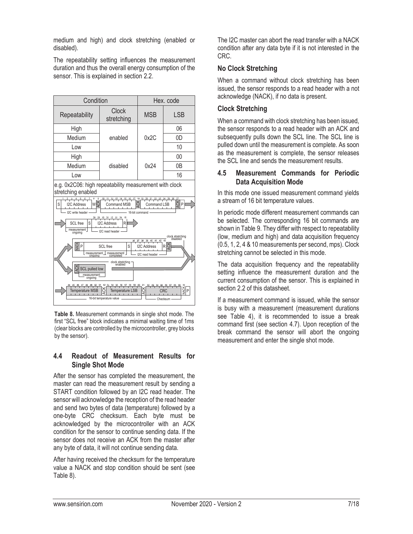medium and high) and clock stretching (enabled or disabled).

The repeatability setting influences the measurement duration and thus the overall energy consumption of the sensor. This is explained in section 2.2.



**Table 8.** Measurement commands in single shot mode. The first "SCL free" block indicates a minimal waiting time of 1ms (clear blocks are controlled by the microcontroller, grey blocks by the sensor).

#### **4.4 Readout of Measurement Results for Single Shot Mode**

After the sensor has completed the measurement, the master can read the measurement result by sending a START condition followed by an I2C read header. The sensor will acknowledge the reception of the read header and send two bytes of data (temperature) followed by a one-byte CRC checksum. Each byte must be acknowledged by the microcontroller with an ACK condition for the sensor to continue sending data. If the sensor does not receive an ACK from the master after any byte of data, it will not continue sending data.

After having received the checksum for the temperature value a NACK and stop condition should be sent (see Table 8).

The I2C master can abort the read transfer with a NACK condition after any data byte if it is not interested in the CRC.

#### **No Clock Stretching**

When a command without clock stretching has been issued, the sensor responds to a read header with a not acknowledge (NACK), if no data is present.

#### **Clock Stretching**

When a command with clock stretching has been issued, the sensor responds to a read header with an ACK and subsequently pulls down the SCL line. The SCL line is pulled down until the measurement is complete. As soon as the measurement is complete, the sensor releases the SCL line and sends the measurement results.

#### **4.5 Measurement Commands for Periodic Data Acquisition Mode**

In this mode one issued measurement command yields a stream of 16 bit temperature values.

In periodic mode different measurement commands can be selected. The corresponding 16 bit commands are shown in Table 9. They differ with respect to repeatability (low, medium and high) and data acquisition frequency (0.5, 1, 2, 4 & 10 measurements per second, mps). Clock stretching cannot be selected in this mode.

The data acquisition frequency and the repeatability setting influence the measurement duration and the current consumption of the sensor. This is explained in section 2.2 of this datasheet.

If a measurement command is issued, while the sensor is busy with a measurement (measurement durations see Table 4), it is recommended to issue a break command first (see section 4.7). Upon reception of the break command the sensor will abort the ongoing measurement and enter the single shot mode.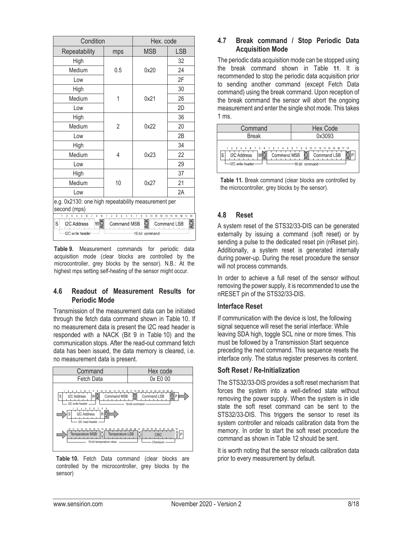| Condition                                                                                                                                                                                                                                                                                                                  | Hex. code |            |     |  |
|----------------------------------------------------------------------------------------------------------------------------------------------------------------------------------------------------------------------------------------------------------------------------------------------------------------------------|-----------|------------|-----|--|
| Repeatability                                                                                                                                                                                                                                                                                                              | mps       | <b>MSB</b> | LSB |  |
| High                                                                                                                                                                                                                                                                                                                       |           |            | 32  |  |
| Medium                                                                                                                                                                                                                                                                                                                     | 0.5       | 0x20       | 24  |  |
| Low                                                                                                                                                                                                                                                                                                                        |           |            | 2F  |  |
| High                                                                                                                                                                                                                                                                                                                       |           |            | 30  |  |
| Medium                                                                                                                                                                                                                                                                                                                     |           | 0x21       | 26  |  |
| Low                                                                                                                                                                                                                                                                                                                        |           |            | 2D  |  |
| High                                                                                                                                                                                                                                                                                                                       |           |            | 36  |  |
| Medium                                                                                                                                                                                                                                                                                                                     | 2         | 0x22       | 20  |  |
| Low                                                                                                                                                                                                                                                                                                                        |           |            | 2B  |  |
| High                                                                                                                                                                                                                                                                                                                       |           |            | 34  |  |
| Medium                                                                                                                                                                                                                                                                                                                     | 4         | 0x23       | 22  |  |
| Low                                                                                                                                                                                                                                                                                                                        |           |            | 29  |  |
| High                                                                                                                                                                                                                                                                                                                       |           |            | 37  |  |
| Medium                                                                                                                                                                                                                                                                                                                     | 10        | 0x27       | 21  |  |
| Low                                                                                                                                                                                                                                                                                                                        |           |            | 2A  |  |
| e.g. 0x2130: one high repeatability measurement per<br>second (mps)                                                                                                                                                                                                                                                        |           |            |     |  |
| $\overline{2}$<br>3<br>6<br>$\overline{I}$<br>8<br>9<br>$\overline{2}$<br>8<br>9<br>1<br>5<br>7<br>10<br>11<br>16 17<br>18<br>1<br>5<br>3<br>4<br>6<br>12<br>13<br>15<br>14<br><b>ACK</b><br><b>ACK</b><br>WŘ<br>S<br><b>Command MSB</b><br><b>I2C Address</b><br><b>Command LSB</b><br>I2C write header<br>16-bit command |           |            |     |  |

**Table 9.** Measurement commands for periodic data acquisition mode (clear blocks are controlled by the microcontroller, grey blocks by the sensor). N.B.: At the highest mps setting self-heating of the sensor might occur.

#### **4.6 Readout of Measurement Results for Periodic Mode**

Transmission of the measurement data can be initiated through the fetch data command shown in Table 10. If no measurement data is present the I2C read header is responded with a NACK (Bit 9 in Table 10) and the communication stops. After the read-out command fetch data has been issued, the data memory is cleared, i.e. no measurement data is present.



**Table 10.** Fetch Data command (clear blocks are controlled by the microcontroller, grey blocks by the sensor)

### **4.7 Break command / Stop Periodic Data Acquisition Mode**

The periodic data acquisition mode can be stopped using the break command shown in Table **11**. It is recommended to stop the periodic data acquisition prior to sending another command (except Fetch Data command) using the break command. Upon reception of the break command the sensor will abort the ongoing measurement and enter the single shot mode. This takes 1 ms.

| Command                                                                                                                   | <b>Hex Code</b>                               |
|---------------------------------------------------------------------------------------------------------------------------|-----------------------------------------------|
| <b>Break</b>                                                                                                              | 0x3093                                        |
| 1 2 3 4 5 6 7 8 9 1 2 3 4 5 6 7 8 9 10 11 12 13 14 15 16 17 18<br><b>I2C Address</b><br>$\mathbf C$<br>-I2C write header- | Command MSB S Command LSB<br>-16-bit command- |

**Table 11.** Break command (clear blocks are controlled by the microcontroller, grey blocks by the sensor).

#### **4.8 Reset**

A system reset of the STS32/33-DIS can be generated externally by issuing a command (soft reset) or by sending a pulse to the dedicated reset pin (nReset pin). Additionally, a system reset is generated internally during power-up. During the reset procedure the sensor will not process commands.

In order to achieve a full reset of the sensor without removing the power supply, it is recommended to use the nRESET pin of the STS32/33-DIS.

#### **Interface Reset**

If communication with the device is lost, the following signal sequence will reset the serial interface: While leaving SDA high, toggle SCL nine or more times. This must be followed by a Transmission Start sequence preceding the next command. This sequence resets the interface only. The status register preserves its content.

#### **Soft Reset / Re-Initialization**

The STS32/33-DIS provides a soft reset mechanism that forces the system into a well-defined state without removing the power supply. When the system is in idle state the soft reset command can be sent to the STS32/33-DIS. This triggers the sensor to reset its system controller and reloads calibration data from the memory. In order to start the soft reset procedure the command as shown in Table 12 should be sent.

It is worth noting that the sensor reloads calibration data prior to every measurement by default.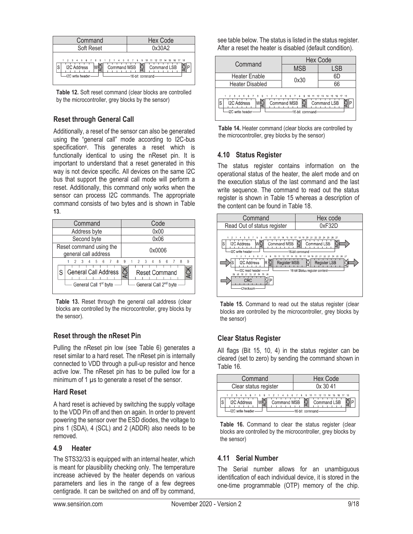

**Table 12.** Soft reset command (clear blocks are controlled by the microcontroller, grey blocks by the sensor)

### **Reset through General Call**

Additionally, a reset of the sensor can also be generated using the "general call" mode according to I2C-bus specification<sup>6</sup>. This generates a reset which is functionally identical to using the nReset pin. It is important to understand that a reset generated in this way is not device specific. All devices on the same I2C bus that support the general call mode will perform a reset. Additionally, this command only works when the sensor can process I2C commands. The appropriate command consists of two bytes and is shown in Table **13**.

| Command                                                                                           | Code                                                                                                        |
|---------------------------------------------------------------------------------------------------|-------------------------------------------------------------------------------------------------------------|
| Address byte                                                                                      | 0x00                                                                                                        |
| Second byte                                                                                       | 0x06                                                                                                        |
| Reset command using the<br>general call address                                                   | 0x0006                                                                                                      |
| 5<br>$\overline{R}$<br>ĥ<br><b>General Call Address</b><br>S<br>General Call 1 <sup>st</sup> byte | 9<br>5<br>- 6<br>$\mathbf{R}$<br>9<br>Δ<br>ACK<br><b>Reset Command</b><br>General Call 2 <sup>nd</sup> byte |

**Table 13.** Reset through the general call address (clear blocks are controlled by the microcontroller, grey blocks by the sensor).

#### **Reset through the nReset Pin**

Pulling the nReset pin low (see Table 6) generates a reset similar to a hard reset. The nReset pin is internally connected to VDD through a pull-up resistor and hence active low. The nReset pin has to be pulled low for a minimum of 1 μs to generate a reset of the sensor.

#### **Hard Reset**

A hard reset is achieved by switching the supply voltage to the VDD Pin off and then on again. In order to prevent powering the sensor over the ESD diodes, the voltage to pins 1 (SDA), 4 (SCL) and 2 (ADDR) also needs to be removed.

#### **4.9 Heater**

The STS32/33 is equipped with an internal heater, which is meant for plausibility checking only. The temperature increase achieved by the heater depends on various parameters and lies in the range of a few degrees centigrade. It can be switched on and off by command, see table below. The status is listed in the status register. After a reset the heater is disabled (default condition).

| Command                                                                                                | Hex Code                            |                         |  |  |
|--------------------------------------------------------------------------------------------------------|-------------------------------------|-------------------------|--|--|
|                                                                                                        | <b>MSB</b>                          | .SB                     |  |  |
| <b>Heater Enable</b>                                                                                   | 0x30                                | 6D                      |  |  |
| <b>Heater Disabled</b>                                                                                 |                                     | 66                      |  |  |
| 2 3 4 5 6 7 8 9 1 2 3 4 5 6 7 8 9 10 11 12 13 14 15 16<br><b>I2C Address</b><br>S<br>-I2C write header | Command MSB<br>히<br>-16-bit command | 18<br>17<br>Command LSB |  |  |

**Table 14.** Heater command (clear blocks are controlled by the microcontroller, grey blocks by the sensor)

#### **4.10 Status Register**

The status register contains information on the operational status of the heater, the alert mode and on the execution status of the last command and the last write sequence. The command to read out the status register is shown in Table 15 whereas a description of the content can be found in Table 18.



**Table 15.** Command to read out the status register (clear blocks are controlled by the microcontroller, grey blocks by the sensor)

#### **Clear Status Register**

All flags (Bit 15, 10, 4) in the status register can be cleared (set to zero) by sending the command shown in Table 16.

| Command                                                                                                                   | Hex Code                        |  |  |
|---------------------------------------------------------------------------------------------------------------------------|---------------------------------|--|--|
| Clear status register                                                                                                     | 0x3041                          |  |  |
| 1 2 3 4 5 6 7 8 9 1 2 3 4 5 6 7 8 9 10 11 12 13 14 15 16 17 18<br>Command MSB<br><b>I2C Address</b><br>-I2C write header- | Command LSB<br>-16-hit command- |  |  |

Table 16. Command to clear the status register (clear blocks are controlled by the microcontroller, grey blocks by the sensor)

#### **4.11 Serial Number**

The Serial number allows for an unambiguous identification of each individual device, it is stored in the one-time programmable (OTP) memory of the chip.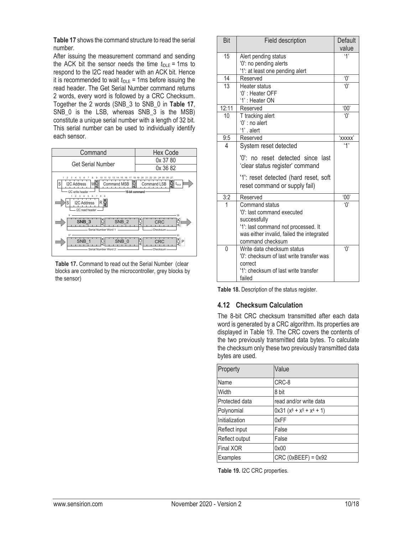**Table 17** shows the command structure to read the serial number.

After issuing the measurement command and sending the ACK bit the sensor needs the time  $t_{\text{IDE}} = 1 \text{ms}$  to respond to the I2C read header with an ACK bit. Hence it is recommended to wait  $t_{\text{IDE}}$  = 1ms before issuing the read header. The Get Serial Number command returns 2 words, every word is followed by a CRC Checksum. Together the 2 words (SNB\_3 to SNB\_0 in **Table 17**, SNB\_0 is the LSB, whereas SNB\_3 is the MSB) constitute a unique serial number with a length of 32 bit. This serial number can be used to individually identify each sensor.

| Command                                                                                                                                                                | <b>Hex Code</b>                                                                                             |
|------------------------------------------------------------------------------------------------------------------------------------------------------------------------|-------------------------------------------------------------------------------------------------------------|
| <b>Get Serial Number</b>                                                                                                                                               | 0x 37 80                                                                                                    |
|                                                                                                                                                                        | 0x 36 82                                                                                                    |
| 15 16 17<br>12<br>13<br>10<br>-14<br>S<br>ă<br>I2C Address<br><b>Command MSB</b><br>WC<br>I2C write header<br>3<br>,<br>¢<br>Rğ<br>S<br>I2C Address<br>I2C read header | 24 25 26 27<br>18 19<br>20<br>21<br>- 22<br>-23<br>ပ္စ<br>Command LSB<br>$t_{\text{IDE}}$<br>16-bit command |
| ğ<br>SNB <sub>3</sub><br>SNB <sub>2</sub><br>Serial Number Word 1                                                                                                      | 36<br>ပ<br>CRC<br>ă<br>Checksum                                                                             |
| 37<br>š<br>SNB 0<br>SNB 1<br>Serial Number Word 2                                                                                                                      | 63<br>ğ∣⊳<br>à<br>CRC<br>Checksum                                                                           |

**Table 17.** Command to read out the Serial Number (clear blocks are controlled by the microcontroller, grey blocks by the sensor)

| Bit            | <b>Field description</b>                                                                                                                                             | <b>Default</b>                              |
|----------------|----------------------------------------------------------------------------------------------------------------------------------------------------------------------|---------------------------------------------|
|                |                                                                                                                                                                      | value                                       |
| 15             | Alert pending status                                                                                                                                                 | 4'                                          |
|                | '0': no pending alerts                                                                                                                                               |                                             |
|                | '1': at least one pending alert                                                                                                                                      |                                             |
| 14             | Reserved                                                                                                                                                             | ʹΟ'                                         |
| 13             | Heater status                                                                                                                                                        |                                             |
|                | '0': Heater OFF                                                                                                                                                      |                                             |
|                | '1': Heater ON                                                                                                                                                       |                                             |
| 12:11          | Reserved                                                                                                                                                             | 00'                                         |
| 10             | T tracking alert                                                                                                                                                     | $\overline{0}$                              |
|                | $0$ ': no alert                                                                                                                                                      |                                             |
|                | '1' . alert                                                                                                                                                          |                                             |
| 9:5            | Reserved                                                                                                                                                             | 'xxxxx'                                     |
| 4              | System reset detected                                                                                                                                                | '1'                                         |
|                | '0': no reset detected since last<br>'clear status register' command                                                                                                 |                                             |
|                | '1': reset detected (hard reset, soft<br>reset command or supply fail)                                                                                               |                                             |
| 3:2            | Reserved                                                                                                                                                             | '00'                                        |
| $\overline{1}$ | Command status<br>'0': last command executed<br>successfully<br>'1': last command not processed. It<br>was either invalid, failed the integrated<br>command checksum | $^{\circ}$ () <sup><math>\circ</math></sup> |
| $\Omega$       | Write data checksum status<br>'0': checksum of last write transfer was<br>correct<br>'1': checksum of last write transfer<br>failed                                  | $^{\circ}$ () <sup><math>\circ</math></sup> |

**Table 18.** Description of the status register.

#### **4.12 Checksum Calculation**

The 8-bit CRC checksum transmitted after each data word is generated by a CRC algorithm. Its properties are displayed in Table 19. The CRC covers the contents of the two previously transmitted data bytes. To calculate the checksum only these two previously transmitted data bytes are used.

| Property         | Value                     |
|------------------|---------------------------|
| Name             | CRC-8                     |
| Width            | 8 bit                     |
| Protected data   | read and/or write data    |
| Polynomial       | $0x31 (x8 + x5 + x4 + 1)$ |
| Initialization   | 0xFF                      |
| Reflect input    | False                     |
| Reflect output   | False                     |
| <b>Final XOR</b> | 0x00                      |
| Examples         | $CRC$ (0xBEEF) = $0x92$   |

**Table 19.** I2C CRC properties.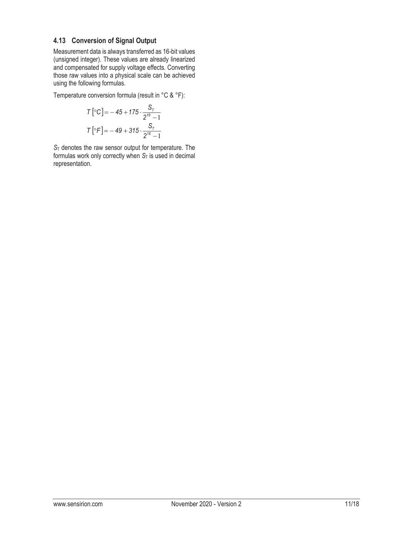#### **4.13 Conversion of Signal Output**

Measurement data is always transferred as 16-bit values (unsigned integer). These values are already linearized and compensated for supply voltage effects. Converting those raw values into a physical scale can be achieved using the following formulas.

Temperature conversion formula (result in °C & °F):

$$
T\left[ {}^{\circ}C \right] = -45 + 175 \cdot \frac{S_{T}}{2^{16} - 1}
$$

$$
T\left[ {}^{\circ}F \right] = -49 + 315 \cdot \frac{S_{T}}{2^{16} - 1}
$$

*S*T denotes the raw sensor output for temperature. The formulas work only correctly when  $S_T$  is used in decimal representation.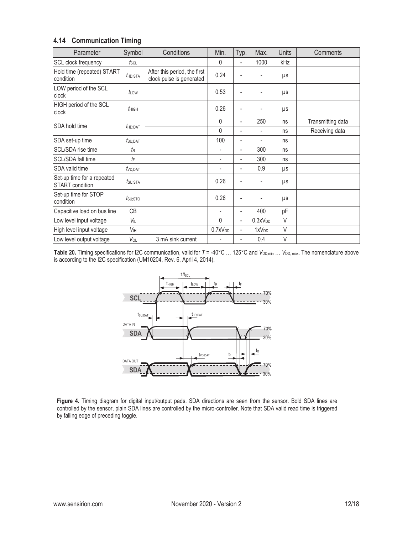#### **4.14 Communication Timing**

| Parameter                                            | Symbol                  | Conditions                                               | Min.                     | Typ.                     | Max.                     | <b>Units</b> | Comments          |
|------------------------------------------------------|-------------------------|----------------------------------------------------------|--------------------------|--------------------------|--------------------------|--------------|-------------------|
| SCL clock frequency                                  | $f_{\rm SCL}$           |                                                          | $\mathbf{0}$             | -                        | 1000                     | kHz          |                   |
| Hold time (repeated) START<br>condition              | $t_{HD:STA}$            | After this period, the first<br>clock pulse is generated | 0.24                     |                          |                          | μs           |                   |
| LOW period of the SCL<br>clock                       | tLow                    |                                                          | 0.53                     | -                        |                          | μs           |                   |
| HIGH period of the SCL<br>clock                      | $t_{\rm HIGH}$          |                                                          | 0.26                     | -                        |                          | μs           |                   |
| SDA hold time                                        |                         |                                                          | 0                        | $\overline{\phantom{0}}$ | 250                      | ns           | Transmitting data |
|                                                      | $t_{HD:DAT}$            |                                                          | $\mathbf{0}$             | -                        | $\overline{\phantom{a}}$ | ns           | Receiving data    |
| SDA set-up time                                      | $t$ su:Dat              |                                                          | 100                      | $\overline{\phantom{0}}$ | ٠                        | ns           |                   |
| SCL/SDA rise time                                    | $t_{\mathsf{R}}$        |                                                          | ٠                        | -                        | 300                      | ns           |                   |
| SCL/SDA fall time                                    | $t_{\mathsf{F}}$        |                                                          | ٠                        | -                        | 300                      | ns           |                   |
| SDA valid time                                       | $t$ <sub>VD</sub> ; DAT |                                                          | ٠                        | $\overline{\phantom{0}}$ | 0.9                      | μs           |                   |
| Set-up time for a repeated<br><b>START</b> condition | tsu:sta                 |                                                          | 0.26                     | -                        |                          | μs           |                   |
| Set-up time for STOP<br>condition                    | $t$ su;sto              |                                                          | 0.26                     | -                        |                          | μs           |                   |
| Capacitive load on bus line                          | СB                      |                                                          | $\overline{\phantom{a}}$ | $\overline{\phantom{0}}$ | 400                      | pF           |                   |
| Low level input voltage                              | VIL                     |                                                          | 0                        | $\overline{\phantom{a}}$ | 0.3xV <sub>DD</sub>      | V            |                   |
| High level input voltage                             | V <sub>IH</sub>         |                                                          | 0.7xV <sub>DD</sub>      | $\overline{\phantom{a}}$ | 1xV <sub>DD</sub>        | V            |                   |
| Low level output voltage                             | VOL                     | 3 mA sink current                                        |                          | -                        | 0.4                      | $\vee$       |                   |

Table 20. Timing specifications for I2C communication, valid for  $T = -40^{\circ}$ C ... 125°C and *V*<sub>DD,min</sub> ... *V*<sub>DD, max</sub>. The nomenclature above is according to the I2C specification (UM10204, Rev. 6, April 4, 2014).



**Figure 4.** Timing diagram for digital input/output pads. SDA directions are seen from the sensor. Bold SDA lines are controlled by the sensor, plain SDA lines are controlled by the micro-controller. Note that SDA valid read time is triggered by falling edge of preceding toggle.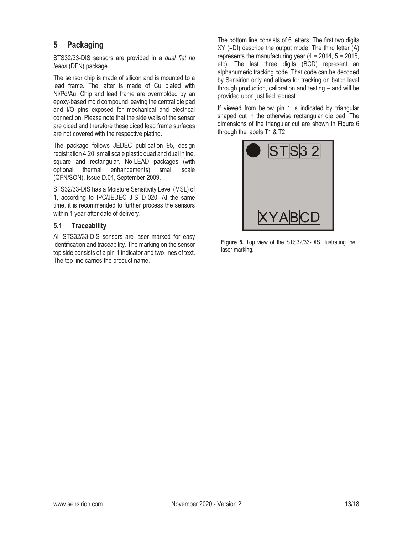## **5 Packaging**

STS32/33-DIS sensors are provided in a *dual flat no leads* (DFN) package.

The sensor chip is made of silicon and is mounted to a lead frame. The latter is made of Cu plated with Ni/Pd/Au. Chip and lead frame are overmolded by an epoxy-based mold compound leaving the central die pad and I/O pins exposed for mechanical and electrical connection. Please note that the side walls of the sensor are diced and therefore these diced lead frame surfaces are not covered with the respective plating.

The package follows JEDEC publication 95, design registration 4.20, small scale plastic quad and dual inline, square and rectangular, No-LEAD packages (with optional thermal enhancements) small scale (QFN/SON), Issue D.01, September 2009.

STS32/33-DIS has a Moisture Sensitivity Level (MSL) of 1, according to IPC/JEDEC J-STD-020. At the same time, it is recommended to further process the sensors within 1 year after date of delivery.

#### **5.1 Traceability**

All STS32/33-DIS sensors are laser marked for easy identification and traceability. The marking on the sensor top side consists of a pin-1 indicator and two lines of text. The top line carries the product name.

The bottom line consists of 6 letters. The first two digits XY (=DI) describe the output mode. The third letter (A) represents the manufacturing year  $(4 = 2014, 5 = 2015,$ etc). The last three digits (BCD) represent an alphanumeric tracking code. That code can be decoded by Sensirion only and allows for tracking on batch level through production, calibration and testing – and will be provided upon justified request.

If viewed from below pin 1 is indicated by triangular shaped cut in the otherwise rectangular die pad. The dimensions of the triangular cut are shown in Figure 6 through the labels T1 & T2.



**Figure 5.** Top view of the STS32/33-DIS illustrating the laser marking.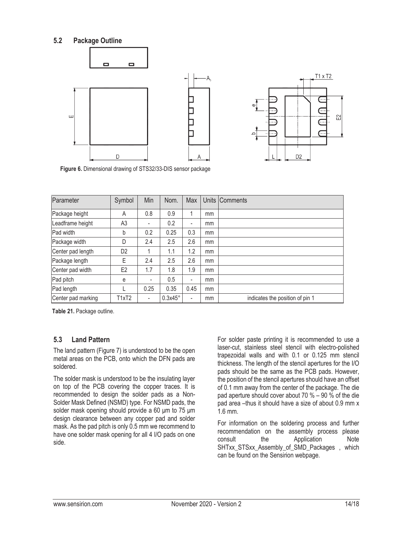#### **5.2 Package Outline**



**Figure 6.** Dimensional drawing of STS32/33-DIS sensor package

| Parameter          | Symbol         | Min                      | Nom.           | Max                      |    | Units Comments                  |
|--------------------|----------------|--------------------------|----------------|--------------------------|----|---------------------------------|
| Package height     | A              | 0.8                      | 0.9            |                          | mm |                                 |
| Leadframe height   | A <sub>3</sub> | $\overline{\phantom{0}}$ | 0.2            | $\overline{\phantom{a}}$ | mm |                                 |
| Pad width          | b              | 0.2                      | 0.25           | 0.3                      | mm |                                 |
| Package width      | D              | 2.4                      | 2.5            | 2.6                      | mm |                                 |
| Center pad length  | D <sub>2</sub> |                          | 1.1            | 1.2                      | mm |                                 |
| Package length     | Е              | 2.4                      | 2.5            | 2.6                      | mm |                                 |
| Center pad width   | E <sub>2</sub> | 1.7                      | 1.8            | 1.9                      | mm |                                 |
| Pad pitch          | e              | ٠                        | 0.5            | ۰.                       | mm |                                 |
| Pad length         |                | 0.25                     | 0.35           | 0.45                     | mm |                                 |
| Center pad marking | T1xT2          | $\overline{\phantom{a}}$ | $0.3x45^\circ$ | $\overline{\phantom{a}}$ | mm | indicates the position of pin 1 |

**Table 21.** Package outline.

#### **5.3 Land Pattern**

The land pattern (Figure 7) is understood to be the open metal areas on the PCB, onto which the DFN pads are soldered.

The solder mask is understood to be the insulating layer on top of the PCB covering the copper traces. It is recommended to design the solder pads as a Non-Solder Mask Defined (NSMD) type. For NSMD pads, the solder mask opening should provide a 60 μm to 75 μm design clearance between any copper pad and solder mask. As the pad pitch is only 0.5 mm we recommend to have one solder mask opening for all 4 I/O pads on one side.

For solder paste printing it is recommended to use a laser-cut, stainless steel stencil with electro-polished trapezoidal walls and with 0.1 or 0.125 mm stencil thickness. The length of the stencil apertures for the I/O pads should be the same as the PCB pads. However, the position of the stencil apertures should have an offset of 0.1 mm away from the center of the package. The die pad aperture should cover about 70 % – 90 % of the die pad area –thus it should have a size of about 0.9 mm x 1.6 mm.

For information on the soldering process and further recommendation on the assembly process please consult the Application Note SHTxx\_STSxx\_Assembly\_of\_SMD\_Packages , which can be found on the Sensirion webpage.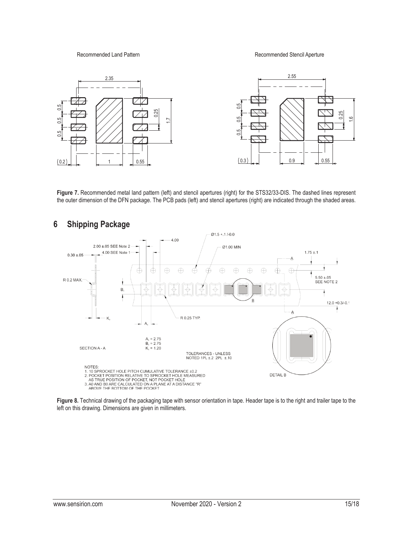Recommended Land Pattern **Recommended Stencil Aperture** Recommended Stencil Aperture



Figure 7. Recommended metal land pattern (left) and stencil apertures (right) for the STS32/33-DIS. The dashed lines represent the outer dimension of the DFN package. The PCB pads (left) and stencil apertures (right) are indicated through the shaded areas.



# **6 Shipping Package**

**Figure 8.** Technical drawing of the packaging tape with sensor orientation in tape. Header tape is to the right and trailer tape to the left on this drawing. Dimensions are given in millimeters.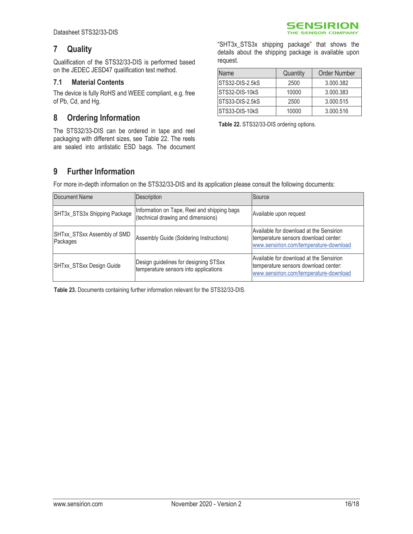## **7 Quality**

Qualification of the STS32/33-DIS is performed based on the JEDEC JESD47 qualification test method.

#### **7.1 Material Contents**

The device is fully RoHS and WEEE compliant, e.g. free of Pb, Cd, and Hg.

### **8 Ordering Information**

The STS32/33-DIS can be ordered in tape and reel packaging with different sizes, see Table 22. The reels are sealed into antistatic ESD bags. The document

"SHT3x\_STS3x shipping package" that shows the details about the shipping package is available upon request.

SENSIRION THE SENSOR COMPANY

| Name            | Quantity | <b>Order Number</b> |
|-----------------|----------|---------------------|
| STS32-DIS-2.5kS | 2500     | 3.000.382           |
| STS32-DIS-10kS  | 10000    | 3.000.383           |
| STS33-DIS-2.5kS | 2500     | 3.000.515           |
| STS33-DIS-10kS  | 10000    | 3.000.516           |

**Table 22.** STS32/33-DIS ordering options.

## **9 Further Information**

For more in-depth information on the STS32/33-DIS and its application please consult the following documents:

| Document Name                           | Description                                                                       | Source                                                                                                                    |
|-----------------------------------------|-----------------------------------------------------------------------------------|---------------------------------------------------------------------------------------------------------------------------|
| SHT3x_STS3x Shipping Package            | Information on Tape, Reel and shipping bags<br>(technical drawing and dimensions) | Available upon request                                                                                                    |
| SHTxx_STSxx Assembly of SMD<br>Packages | Assembly Guide (Soldering Instructions)                                           | Available for download at the Sensirion<br>temperature sensors download center:<br>www.sensirion.com/temperature-download |
| SHTxx STSxx Design Guide                | Design guidelines for designing STSxx<br>temperature sensors into applications    | Available for download at the Sensirion<br>temperature sensors download center:<br>www.sensirion.com/temperature-download |

**Table 23.** Documents containing further information relevant for the STS32/33-DIS.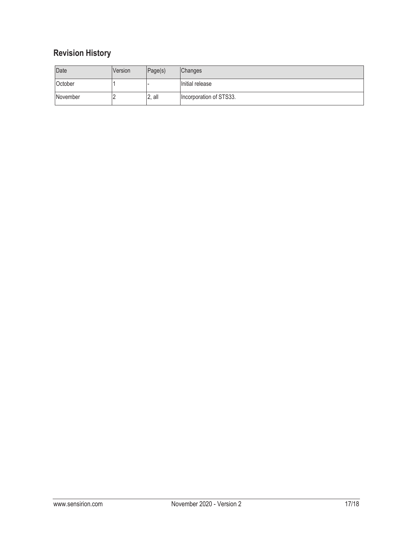# **Revision History**

| Date     | <b>Version</b> | Page(s)  | <b>Changes</b>          |
|----------|----------------|----------|-------------------------|
| October  |                |          | Initial release         |
| November |                | $2,$ all | Incorporation of STS33. |